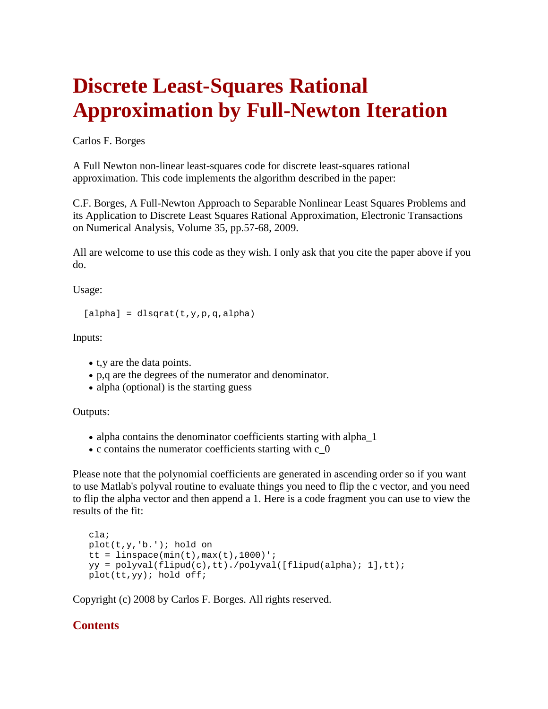## **Discrete Least-Squares Rational Approximation by Full-Newton Iteration**

Carlos F. Borges

A Full Newton non-linear least-squares code for discrete least-squares rational approximation. This code implements the algorithm described in the paper:

C.F. Borges, A Full-Newton Approach to Separable Nonlinear Least Squares Problems and its Application to Discrete Least Squares Rational Approximation, Electronic Transactions on Numerical Analysis, Volume 35, pp.57-68, 2009.

All are welcome to use this code as they wish. I only ask that you cite the paper above if you do.

Usage:

```
[alpha] =dlsqrat(t, y, p, q, alpha)
```
Inputs:

- t,y are the data points.
- p,q are the degrees of the numerator and denominator.
- alpha (optional) is the starting guess

Outputs:

- alpha contains the denominator coefficients starting with alpha<sup>1</sup>
- c contains the numerator coefficients starting with c\_0

Please note that the polynomial coefficients are generated in ascending order so if you want to use Matlab's polyval routine to evaluate things you need to flip the c vector, and you need to flip the alpha vector and then append a 1. Here is a code fragment you can use to view the results of the fit:

```
 cla;
 plot(t,y,'b.'); hold on
tt = linspace(min(t),max(t), 1000)';
 yy = polyval(flipud(c),tt)./polyval([flipud(alpha); 1],tt);
 plot(tt,yy); hold off;
```
Copyright (c) 2008 by Carlos F. Borges. All rights reserved.

## **Contents**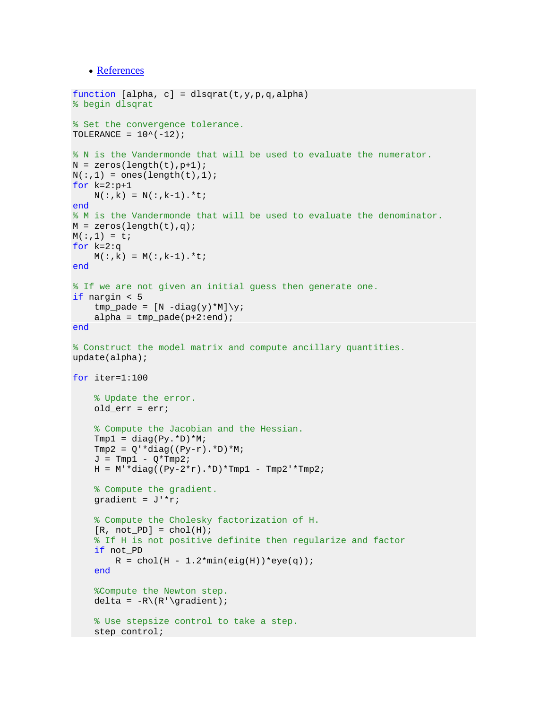• [References](#page-4-0)

```
function [alpha, c] = dlsqrat(t,y,p,q,alpha)
% begin dlsqrat
% Set the convergence tolerance.
TOLERANCE = 10^{\wedge}(-12);
% N is the Vandermonde that will be used to evaluate the numerator.
N = zeros(length(t), p+1);N(:,1) = ones(length(t),1);for k=2:p+1N(:,k) = N(:,k-1).*t;
end
% M is the Vandermonde that will be used to evaluate the denominator.
M = zeros(length(t), q);M(:,1) = t;for k=2:q
    M(:,k) = M(:,k-1).*t;
end
% If we are not given an initial guess then generate one.
if nargin < 5
    tmp\_pade = [N -diag(y)*M]\y;alpha = tmp\_pade(p+2:end);end
% Construct the model matrix and compute ancillary quantities.
update(alpha);
for iter=1:100
     % Update the error.
     old_err = err;
     % Compute the Jacobian and the Hessian.
    Tmp1 = diag(Py.*D)*M;Tmp2 = Q' * diag((Py-r). *D) *M;J = Tmp1 - Q*Tmp2;H = M' * diag((Py-2*r).*D)*Tmp1 - Tmp2'*Tmp2; % Compute the gradient.
    gradient = J' * r;
     % Compute the Cholesky factorization of H.
    [R, not_PD] = chol(H); % If H is not positive definite then regularize and factor
     if not_PD
        R = chol(H - 1.2*min(eig(H))*eye(q)); end
     %Compute the Newton step.
    delta = -R\ (R'\qquad i);
     % Use stepsize control to take a step.
     step_control;
```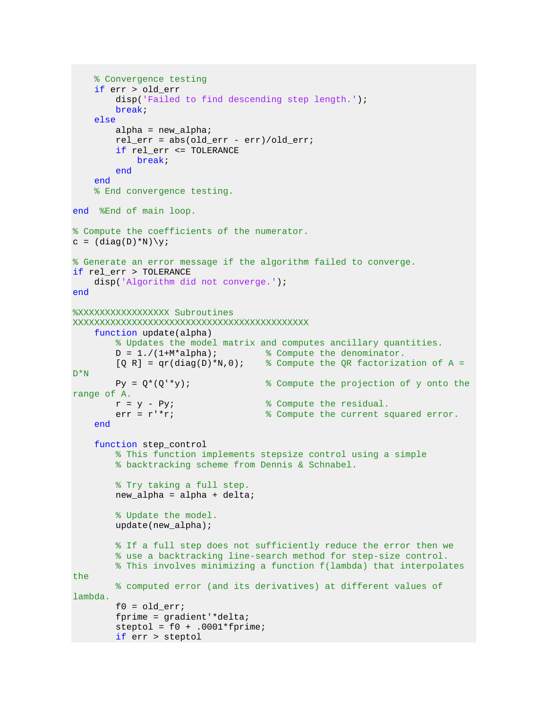```
 % Convergence testing
     if err > old_err
        disp('Failed to find descending step length.');
         break;
     else
        alpha = new alpha;
         rel_err = abs(old_err - err)/old_err;
         if rel_err <= TOLERANCE
              break;
         end
     end
     % End convergence testing.
end %End of main loop.
% Compute the coefficients of the numerator.
c = (diag(D)*N)\y;% Generate an error message if the algorithm failed to converge.
if rel_err > TOLERANCE
    disp('Algorithm did not converge.');
end
%XXXXXXXXXXXXXXXXX Subroutines 
XXXXXXXXXXXXXXXXXXXXXXXXXXXXXXXXXXXXXXXXXXXX
     function update(alpha)
        % Updates the model matrix and computes ancillary quantities.<br>D = 1./(1+M*alpha); % Compute the denominator.
         D = 1./(1+M*alpha); % Compute the denominator.<br>[Q R] = qr(diag(D)*N,0); % Compute the QR factoriza
                                      \% Compute the QR factorization of A =
D*N
        Py = Q^*(Q^{**}y); \qquad % Compute the projection of y onto the
range of A.<br>r = y - Pyir = y - Py;<br>err = r' * r;<br>r' * r;<br>r' * r;<br>r' * r;
                                       % Compute the current squared error.
     end
     function step_control
         % This function implements stepsize control using a simple
         % backtracking scheme from Dennis & Schnabel.
         % Try taking a full step.
         new_alpha = alpha + delta;
         % Update the model.
         update(new_alpha);
         % If a full step does not sufficiently reduce the error then we
         % use a backtracking line-search method for step-size control.
         % This involves minimizing a function f(lambda) that interpolates 
the
         % computed error (and its derivatives) at different values of 
lambda.
        f0 = old err; fprime = gradient'*delta;
        steptol = f0 + .0001*fprime; if err > steptol
```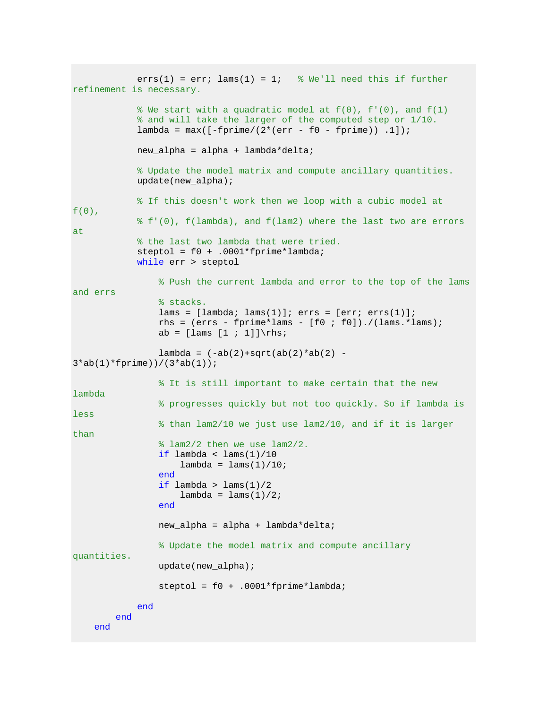```
errs(1) = err; lams(1) = 1; % We'll need this if further
refinement is necessary.
            % We start with a quadratic model at f(0), f'(0), and f(1) % and will take the larger of the computed step or 1/10.
            lambda = max([ -fprime/(2*(err - f0 - fprime))).
             new_alpha = alpha + lambda*delta;
             % Update the model matrix and compute ancillary quantities.
             update(new_alpha);
             % If this doesn't work then we loop with a cubic model at 
f(0),
             % f'(0), f(lambda), and f(lam2) where the last two are errors 
at
             % the last two lambda that were tried.
             steptol = f0 + .0001*fprime*lambda;
             while err > steptol
                  % Push the current lambda and error to the top of the lams 
and errs
                  % stacks.
                lams = [lambda; lams(1)]; errs = [err; errs(1)];rhs = (ers - fprime*lams - [f0 ; f0]), // lams.*lams);ab = \lceil \text{lams} \rceil \cdot 1 \rceil \} \rceillambda = (-ab(2) + sqrt(ab(2) *ab(2) -3*ab(1)*fprime))/(3*ab(1));
                  % It is still important to make certain that the new 
lambda
                  % progresses quickly but not too quickly. So if lambda is 
less
                  % than lam2/10 we just use lam2/10, and if it is larger 
than
                  % lam2/2 then we use lam2/2.
                 if lambda < lams(1)/10lambda = \text{lams}(1)/10;
                 end
                if lambda > lams(1)/2lambda = 1ams(1)/2; end
                 new_alpha = alpha + lambda*delta;
                  % Update the model matrix and compute ancillary 
quantities.
                 update(new_alpha);
                  steptol = f0 + .0001*fprime*lambda;
             end
         end
     end
```